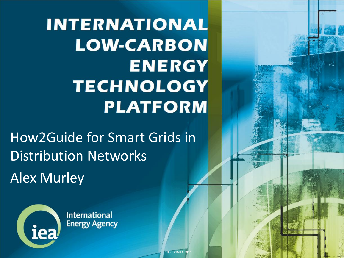**INTERNATIONAL LOW-CARBON ENERGY TECHNOLOGY PLATFORM** 

© OECD/IEA 2012

How2Guide for Smart Grids in Distribution Networks Alex Murley



**International Energy Agency**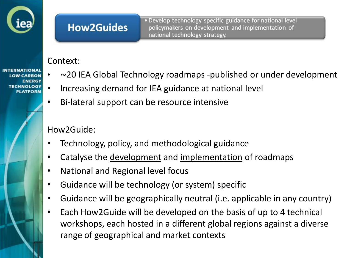

**ENERGY TECHNOLOGY** 

# **How2Guides**

• Develop technology specific guidance for national level policymakers on development and implementation of national technology strategy.

#### Context:

- ~20 IEA Global Technology roadmaps -published or under development
- Increasing demand for IEA guidance at national level
	- Bi-lateral support can be resource intensive

#### How2Guide:

- Technology, policy, and methodological guidance
- Catalyse the development and implementation of roadmaps
- National and Regional level focus
- Guidance will be technology (or system) specific
- Guidance will be geographically neutral (i.e. applicable in any country)
- Each How2Guide will be developed on the basis of up to 4 technical workshops, each hosted in a different global regions against a diverse range of geographical and market contexts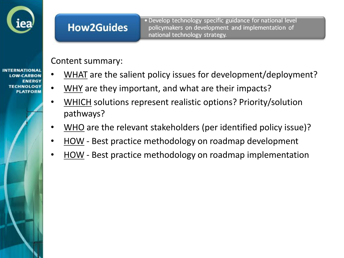

**TERNATIONAL** 

**ENERGY TECHNOLOGY** 

# **How2Guides**

· Develop technology specific guidance for national level policymakers on development and implementation of national technology strategy.

Content summary:

- WHAT are the salient policy issues for development/deployment?
- WHY are they important, and what are their impacts?
	- WHICH solutions represent realistic options? Priority/solution pathways?
- WHO are the relevant stakeholders (per identified policy issue)?
- HOW Best practice methodology on roadmap development
- HOW Best practice methodology on roadmap implementation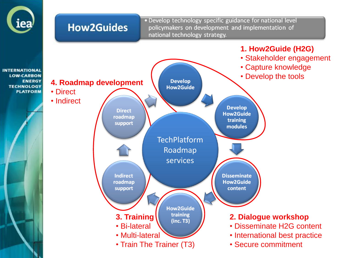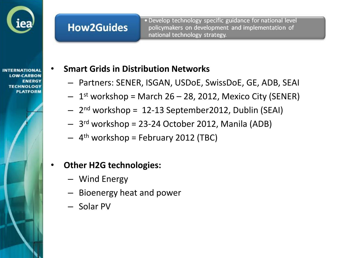

## **How2Guides**

· Develop technology specific guidance for national level policymakers on development and implementation of national technology strategy.

FNFRGI **TECHNOLOGY** ATEODI

### • **Smart Grids in Distribution Networks**

- Partners: SENER, ISGAN, USDoE, SwissDoE, GE, ADB, SEAI
- $-1$ <sup>st</sup> workshop = March 26 28, 2012, Mexico City (SENER)
- 2<sup>nd</sup> workshop = 12-13 September2012, Dublin (SEAI)
- 3 rd workshop = 23-24 October 2012, Manila (ADB)
- 4<sup>th</sup> workshop = February 2012 (TBC)

### • **Other H2G technologies:**

- Wind Energy
- Bioenergy heat and power
- Solar PV